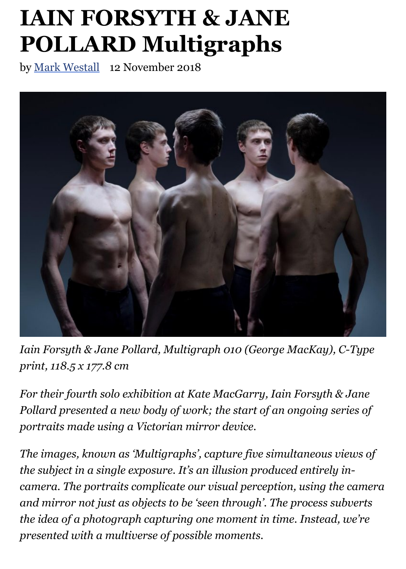

Iain Forsyth & Jane Pollard, Multigraph 010 (George MacKay), C-T *print, 118.5 x 177.8 cm*

*For their fourth solo exhibition at Kate MacGarry, Iain Forsyth & Jones of the indepty to Eurementia Pollard presented a new body of work; the start of an ongoing series portraits made using a Victorian mirror device.*

*The images, known as 'Multigraphs', capture five simultaneous vieu the subject in a single exposure. It's an illusion produced entirely incamera. The portraits complicate our visual perception, using the camera and mirror not just as objects to be 'seen through'. The process subverty the idea of a photograph capturing one moment in time. Instead, we presented with a multiverse of possible moments.*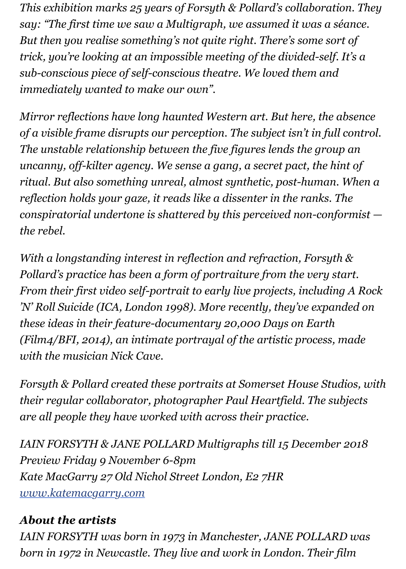*Mirror reflections have long haunted Western art. But here, the absent Mirror reflections have long haunted Western art. But here, the absent of a visible frame disrupts our perception. The subject isn't in full contain to a visible frame disrupts our perception. The subject isn't in full contained The unstable relationship between the five figures lends the group an uncanny, off-kilter agency. We sense a gang, a secret pact, the hint of ritual. But also something unreal, almost synthetic, post-human. Wh reflection holds your gaze, it reads like a dissenter in the ranks. The conspiratorial undertone is shattered by this perceived non-conform the rebel.*

*With a longstanding interest in reflection and refraction, Forsyth & Pollard's practice has been a form of portraiture from the very start. From their first video self-portrait to early live projects, including A 'N' Roll Suicide (ICA, London 1998). More recently, they've expanded on these ideas in their feature-documentary 20,000 Days on Earth (Film4/BFI, 2014), an intimate portrayal of the artistic process, made with the musician Nick Cave.*

*Forsyth & Pollard created these portraits at Somerset House Studios their regular collaborator, photographer Paul Heartfield. The subjetting the subjetting photographer Paul Heartfield. are all people they have worked with across their practice.*

*IAIN FORSYTH & JANE POLLARD Multigraphs till 15 December 20 Preview Friday 9 November 6-8pm Kate MacGarry 27 Old Nichol Street London, E2 7HR www.katemacgarry.com*

## *About the artists*

*IAIN FORSYTH was born in 1973 in Manchester, JANE POLLARD was born in 1972 in Newcastle. They live and work in London. Their film*